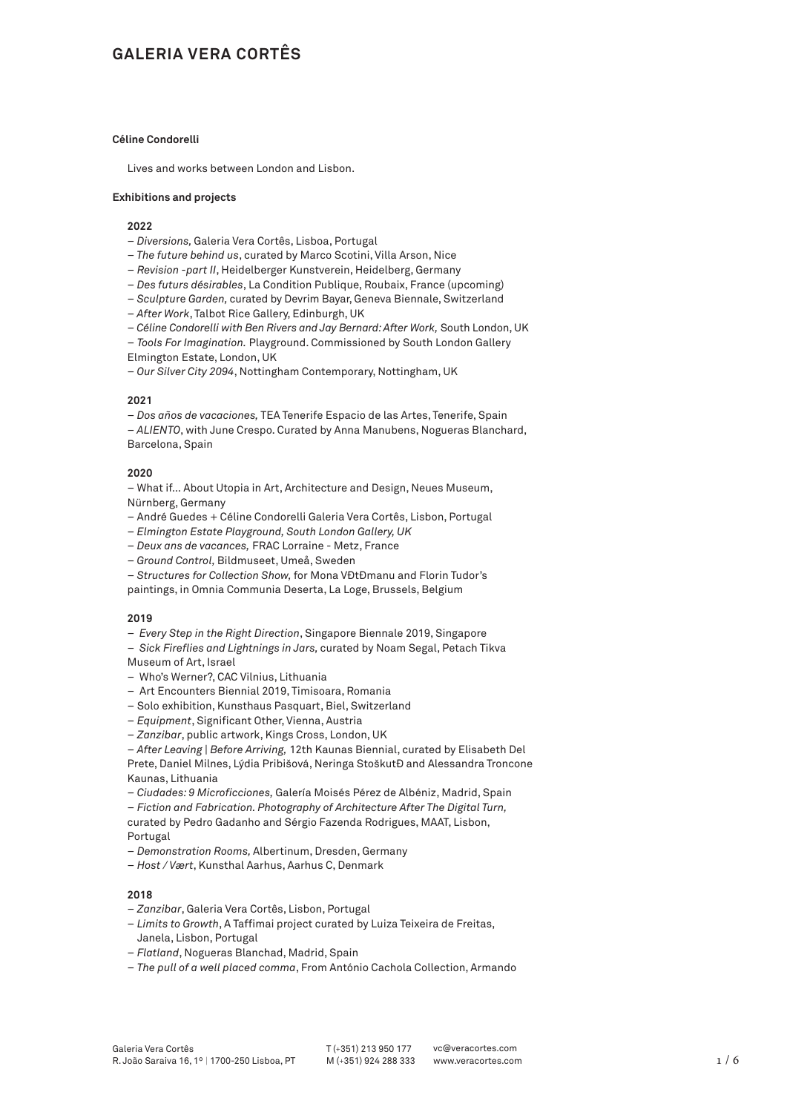# **GALERIA VERA CORTÊS**

# **Céline Condorelli**

Lives and works between London and Lisbon.

#### **Exhibitions and projects**

### **2022**

- – *Diversions,* Galeria Vera Cortês, Lisboa, Portugal
- – *The future behind us*, curated by Marco Scotini, Villa Arson, Nice
- *Revision -part II*, Heidelberger Kunstverein, Heidelberg, Germany
- – *Des futurs désirables*, La Condition Publique, Roubaix, France (upcoming)
- – *Sculptu*re *Garden,* curated by Devrim Bayar, Geneva Biennale, Switzerland
- – *After Work*, Talbot Rice Gallery, Edinburgh, UK
- – *Céline Condorelli with Ben Rivers and Jay Bernard: After Work,* South London, UK
- *Tools For Imagination.* Playground. Commissioned by South London Gallery Elmington Estate, London, UK
- – *Our Silver City 2094*, Nottingham Contemporary, Nottingham, UK

#### **2021**

– *Dos años de vacaciones,* TEA Tenerife Espacio de las Artes, Tenerife, Spain – *ALIENTO*, with June Crespo. Curated by Anna Manubens, Nogueras Blanchard, Barcelona, Spain

#### **2020**

– What if… About Utopia in Art, Architecture and Design, Neues Museum, Nürnberg, Germany

- André Guedes + Céline Condorelli Galeria Vera Cortês, Lisbon, Portugal
- – *Elmington Estate Playground, South London Gallery, UK*
- – *Deux ans de vacances,* FRAC Lorraine Metz, France
- – *Ground Control,* Bildmuseet, Umeå, Sweden
- – *Structures for Collection Show,* for Mona Vǎtǎmanu and Florin Tudor's
- paintings, in Omnia Communia Deserta, La Loge, Brussels, Belgium

# **2019**

- – *Every Step in the Right Direction*, Singapore Biennale 2019, Singapore
- – *Sick Fireflies and Lightnings in Jars,* curated by Noam Segal, Petach Tikva Museum of Art, Israel
- –Who's Werner?, CAC Vilnius, Lithuania
- Art Encounters Biennial 2019, Timisoara, Romania
- Solo exhibition, Kunsthaus Pasquart, Biel, Switzerland
- *Equipment*, Significant Other, Vienna, Austria
- *Zanzibar*, public artwork, Kings Cross, London, UK
- *After Leaving | Before Arriving,* 12th Kaunas Biennial, curated by Elisabeth Del
- Prete, Daniel Milnes, Lýdia Pribišová, Neringa StoškutĐ and Alessandra Troncone Kaunas, Lithuania
- *Ciudades: 9 Microficciones,* Galería Moisés Pérez de Albéniz, Madrid, Spain
- *Fiction and Fabrication. Photography of Architecture After The Digital Turn,*  curated by Pedro Gadanho and Sérgio Fazenda Rodrigues, MAAT, Lisbon,

Portugal

- *Demonstration Rooms,* Albertinum, Dresden, Germany
- *Host / Vært*, Kunsthal Aarhus, Aarhus C, Denmark

# **2018**

- *Zanzibar*, Galeria Vera Cortês, Lisbon, Portugal
- *Limits to Growth*, A Taffimai project curated by Luiza Teixeira de Freitas, Janela, Lisbon, Portugal
- *Flatland*, Nogueras Blanchad, Madrid, Spain
- *The pull of a well placed comma*, From António Cachola Collection, Armando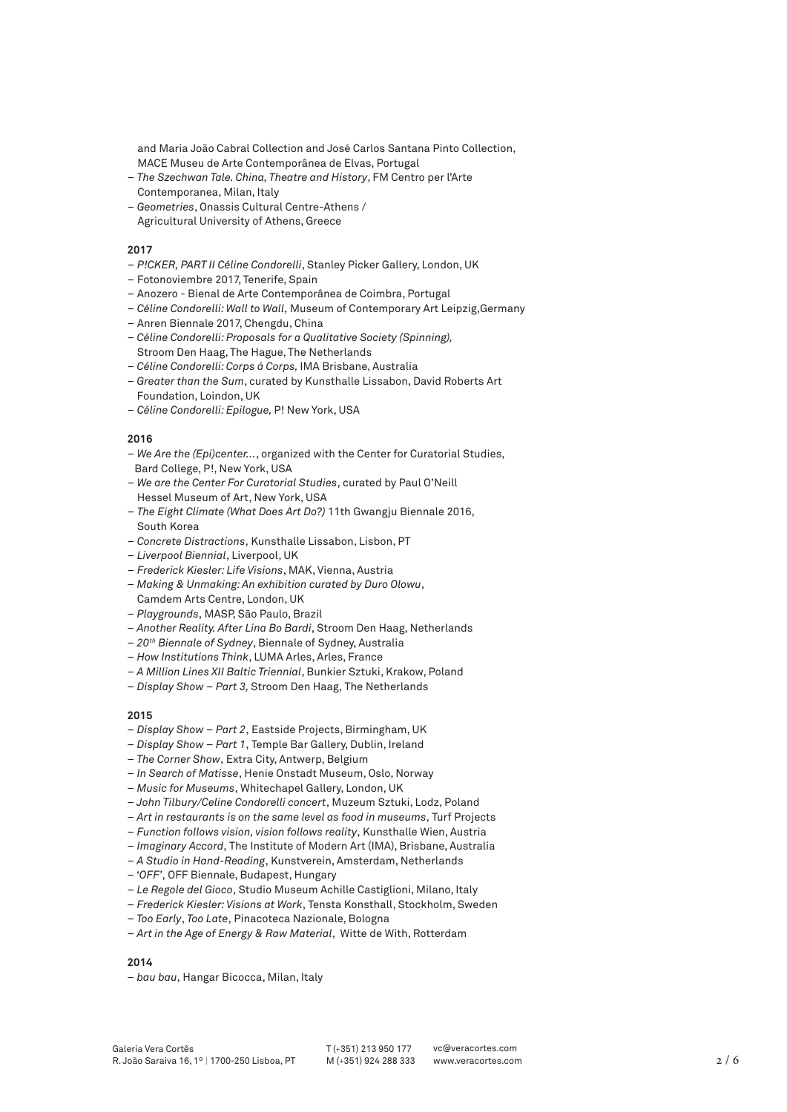and Maria João Cabral Collection and José Carlos Santana Pinto Collection, MACE Museu de Arte Contemporânea de Elvas, Portugal

- *The Szechwan Tale. China, Theatre and History*, FM Centro per l'Arte Contemporanea, Milan, Italy
- *Geometries*, Onassis Cultural Centre-Athens / Agricultural University of Athens, Greece

# **2017**

- *P!CKER, PART II Céline Condorelli*, Stanley Picker Gallery, London, UK
- Fotonoviembre 2017, Tenerife, Spain
- Anozero Bienal de Arte Contemporânea de Coimbra, Portugal
- *Céline Condorelli: Wall to Wall,* Museum of Contemporary Art Leipzig,Germany
- Anren Biennale 2017, Chengdu, China
- – *Céline Condorelli: Proposals for a Qualitative Society (Spinning),* Stroom Den Haag, The Hague, The Netherlands
- – *Céline Condorelli: Corps á Corps,* IMA Brisbane, Australia
- – *Greater than the Sum*, curated by Kunsthalle Lissabon, David Roberts Art – Foundation, Loindon, UK
- *Céline Condorelli: Epilogue,* P! New York, USA

#### **2016**

- *We Are the (Epi)center...*, organized with the Center for Curatorial Studies, Bard College, P!, New York, USA
- *We are the Center For Curatorial Studies*, curated by Paul O'Neill Hessel Museum of Art, New York, USA
- *The Eight Climate (What Does Art Do?)* 11th Gwangju Biennale 2016, South Korea
- *Concrete Distractions*, Kunsthalle Lissabon, Lisbon, PT
- *Liverpool Biennial*, Liverpool, UK
- *Frederick Kiesler: Life Visions*, MAK, Vienna, Austria
- *Making & Unmaking: An exhibition curated by Duro Olowu*, Camdem Arts Centre, London, UK
- *Playgrounds*, MASP, São Paulo, Brazil
- *Another Reality. After Lina Bo Bardi*, Stroom Den Haag, Netherlands
- *20th Biennale of Sydney*, Biennale of Sydney, Australia
- *How Institutions Think*, LUMA Arles, Arles, France
- *A Million Lines XII Baltic Triennial*, Bunkier Sztuki, Krakow, Poland
- *Display Show Part 3,* Stroom Den Haag, The Netherlands

#### **2015**

- *Display Show Part 2*, Eastside Projects, Birmingham, UK
- *Display Show Part 1*, Temple Bar Gallery, Dublin, Ireland
- *The Corner Show*, Extra City, Antwerp, Belgium
- *In Search of Matisse*, Henie Onstadt Museum, Oslo, Norway
- *Music for Museums*, Whitechapel Gallery, London, UK
- *John Tilbury/Celine Condorelli concert*, Muzeum Sztuki, Lodz, Poland
- *Art in restaurants is on the same level as food in museums*, Turf Projects
- *Function follows vision, vision follows reality*, Kunsthalle Wien, Austria
- *Imaginary Accord*, The Institute of Modern Art (IMA), Brisbane, Australia
- *A Studio in Hand-Reading*, Kunstverein, Amsterdam, Netherlands
- *'OFF'*, OFF Biennale, Budapest, Hungary
- *Le Regole del Gioco*, Studio Museum Achille Castiglioni, Milano, Italy
- *Frederick Kiesler: Visions at Work*, Tensta Konsthall, Stockholm, Sweden
- *Too Early*, *Too Late*, Pinacoteca Nazionale, Bologna
- *Art in the Age of Energy & Raw Material*,Witte de With, Rotterdam

# **2014**

*– bau bau*, Hangar Bicocca, Milan, Italy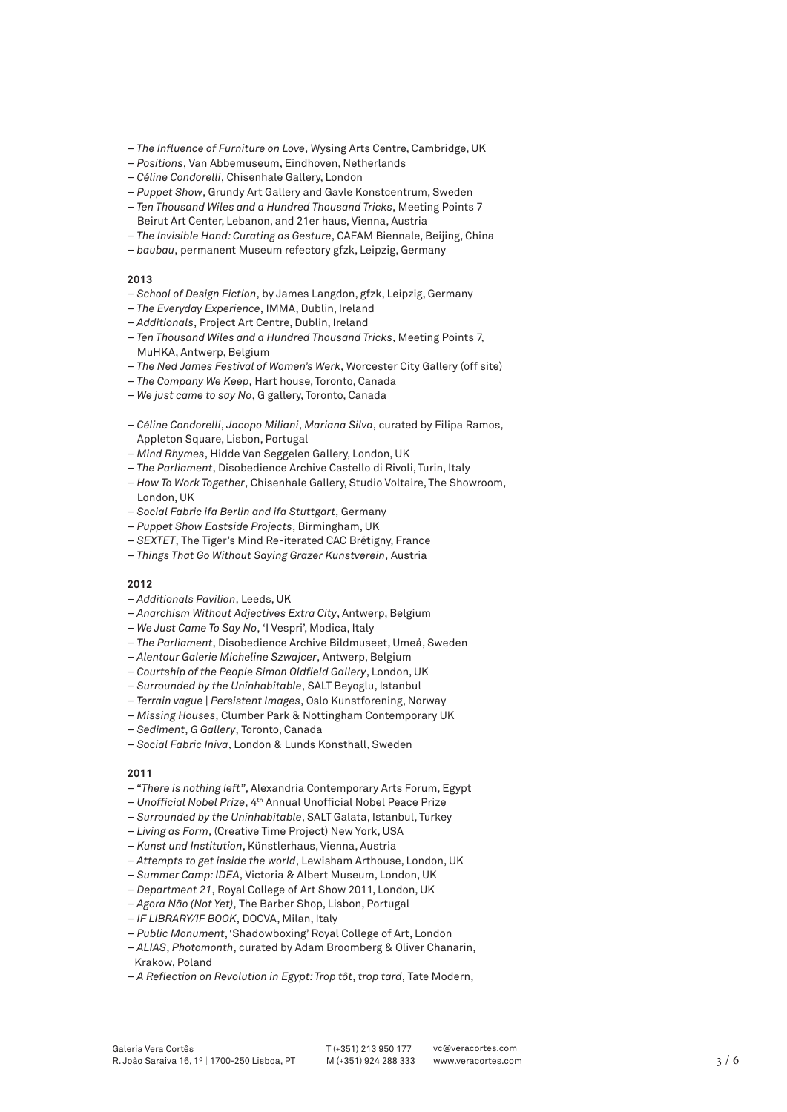- *The Influence of Furniture on Love*, Wysing Arts Centre, Cambridge, UK
- *Positions*, Van Abbemuseum, Eindhoven, Netherlands
- *Céline Condorelli*, Chisenhale Gallery, London
- *Puppet Show*, Grundy Art Gallery and Gavle Konstcentrum, Sweden
- *Ten Thousand Wiles and a Hundred Thousand Tricks*, Meeting Points 7 Beirut Art Center, Lebanon, and 21er haus, Vienna, Austria
- *The Invisible Hand: Curating as Gesture*, CAFAM Biennale, Beijing, China
- *baubau*, permanent Museum refectory gfzk, Leipzig, Germany

#### **2013**

- *School of Design Fiction*, by James Langdon, gfzk, Leipzig, Germany
- *The Everyday Experience*, IMMA, Dublin, Ireland
- *Additionals*, Project Art Centre, Dublin, Ireland
- *Ten Thousand Wiles and a Hundred Thousand Tricks*, Meeting Points 7, MuHKA, Antwerp, Belgium
- *The Ned James Festival of Women's Werk*, Worcester City Gallery (off site)
- *The Company We Keep*, Hart house, Toronto, Canada
- *We just came to say No*, G gallery, Toronto, Canada
- *Céline Condorelli*, *Jacopo Miliani*, *Mariana Silva*, curated by Filipa Ramos, Appleton Square, Lisbon, Portugal
- *Mind Rhymes*, Hidde Van Seggelen Gallery, London, UK
- *The Parliament*, Disobedience Archive Castello di Rivoli, Turin, Italy
- *How To Work Together*, Chisenhale Gallery, Studio Voltaire, The Showroom, London, UK
- *Social Fabric ifa Berlin and ifa Stuttgart*, Germany
- *Puppet Show Eastside Projects*, Birmingham, UK
- *SEXTET*, The Tiger's Mind Re-iterated CAC Brétigny, France
- *Things That Go Without Saying Grazer Kunstverein*, Austria

#### **2012**

- *Additionals Pavilion*, Leeds, UK
- *Anarchism Without Adjectives Extra City*, Antwerp, Belgium
- *We Just Came To Say No*, 'I Vespri', Modica, Italy
- *The Parliament*, Disobedience Archive Bildmuseet, Umeå, Sweden
- *Alentour Galerie Micheline Szwajcer*, Antwerp, Belgium
- *Courtship of the People Simon Oldfield Gallery*, London, UK
- *Surrounded by the Uninhabitable*, SALT Beyoglu, Istanbul
- *Terrain vague | Persistent Images*, Oslo Kunstforening, Norway
- *Missing Houses*, Clumber Park & Nottingham Contemporary UK
- *Sediment*, *G Gallery*, Toronto, Canada
- *Social Fabric Iniva*, London & Lunds Konsthall, Sweden

#### **2011**

- *"There is nothing left"*, Alexandria Contemporary Arts Forum, Egypt
- *Unofficial Nobel Prize*, 4th Annual Unofficial Nobel Peace Prize
- *Surrounded by the Uninhabitable*, SALT Galata, Istanbul, Turkey
- *Living as Form*, (Creative Time Project) New York, USA
- *Kunst und Institution*, Künstlerhaus, Vienna, Austria
- *Attempts to get inside the world*, Lewisham Arthouse, London, UK
- *Summer Camp: IDEA*, Victoria & Albert Museum, London, UK
- *Department 21*, Royal College of Art Show 2011, London, UK
- *Agora Não (Not Yet)*, The Barber Shop, Lisbon, Portugal
- *IF LIBRARY/IF BOOK*, DOCVA, Milan, Italy
- *Public Monument*, 'Shadowboxing' Royal College of Art, London
- *ALIAS*, *Photomonth*, curated by Adam Broomberg & Oliver Chanarin, Krakow, Poland
- *A Reflection on Revolution in Egypt: Trop tôt*, *trop tard*, Tate Modern,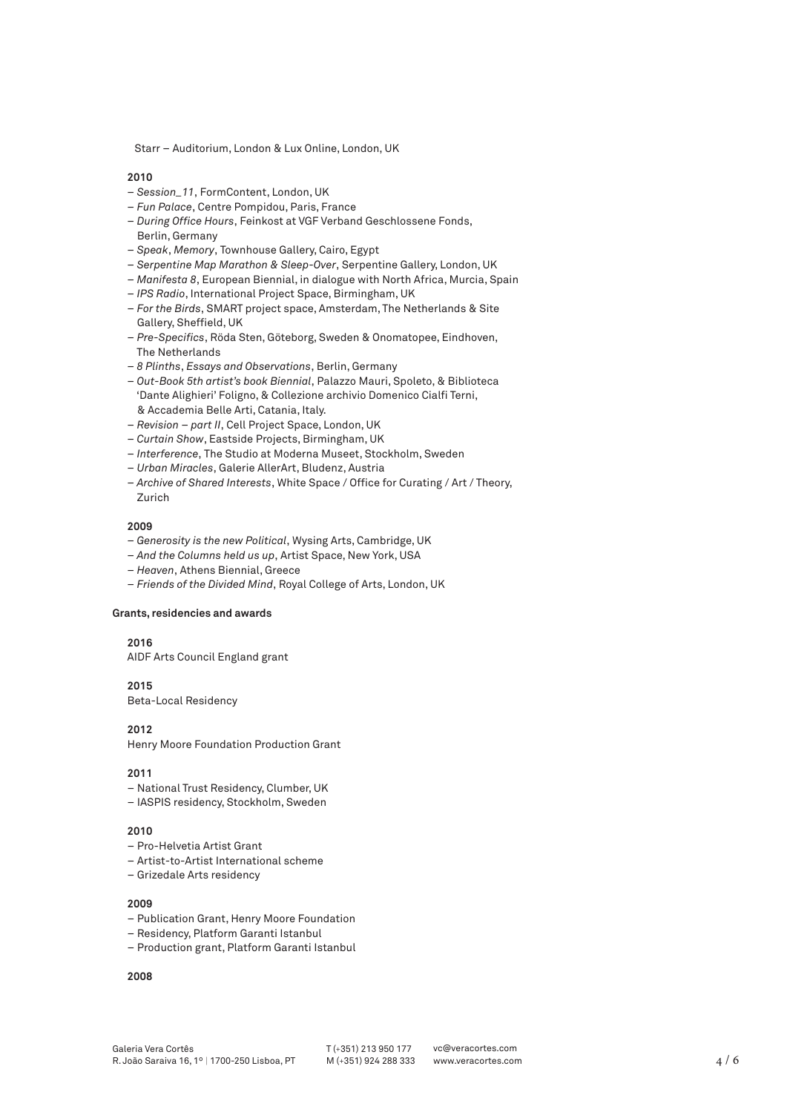Starr – Auditorium, London & Lux Online, London, UK

#### **2010**

- *Session\_11*, FormContent, London, UK
- *Fun Palace*, Centre Pompidou, Paris, France
- *During Office Hours*, Feinkost at VGF Verband Geschlossene Fonds, Berlin, Germany
- *Speak*, *Memory*, Townhouse Gallery, Cairo, Egypt
- *Serpentine Map Marathon & Sleep-Over*, Serpentine Gallery, London, UK
- *Manifesta 8*, European Biennial, in dialogue with North Africa, Murcia, Spain
- *IPS Radio*, International Project Space, Birmingham, UK
- *For the Birds*, SMART project space, Amsterdam, The Netherlands & Site Gallery, Sheffield, UK
- *Pre-Specifics*, Röda Sten, Göteborg, Sweden & Onomatopee, Eindhoven, The Netherlands
- *8 Plinths*, *Essays and Observations*, Berlin, Germany
- *Out-Book 5th artist's book Biennial*, Palazzo Mauri, Spoleto, & Biblioteca 'Dante Alighieri' Foligno, & Collezione archivio Domenico Cialfi Terni, & Accademia Belle Arti, Catania, Italy.
- *Revision part II*, Cell Project Space, London, UK
- *Curtain Show*, Eastside Projects, Birmingham, UK
- *Interference*, The Studio at Moderna Museet, Stockholm, Sweden
- *Urban Miracles*, Galerie AllerArt, Bludenz, Austria
- *Archive of Shared Interests*, White Space / Office for Curating / Art / Theory, Zurich

# **2009**

- *Generosity is the new Political*, Wysing Arts, Cambridge, UK
- *And the Columns held us up*, Artist Space, New York, USA
- *Heaven*, Athens Biennial, Greece
- *Friends of the Divided Mind*, Royal College of Arts, London, UK

#### **Grants, residencies and awards**

# **2016**

AIDF Arts Council England grant

#### **2015**

Beta-Local Residency

#### **2012**

Henry Moore Foundation Production Grant

#### **2011**

- National Trust Residency, Clumber, UK
- IASPIS residency, Stockholm, Sweden

# **2010**

- Pro-Helvetia Artist Grant
- Artist-to-Artist International scheme
- Grizedale Arts residency

#### **2009**

- Publication Grant, Henry Moore Foundation
- Residency, Platform Garanti Istanbul
- Production grant, Platform Garanti Istanbul

# **2008**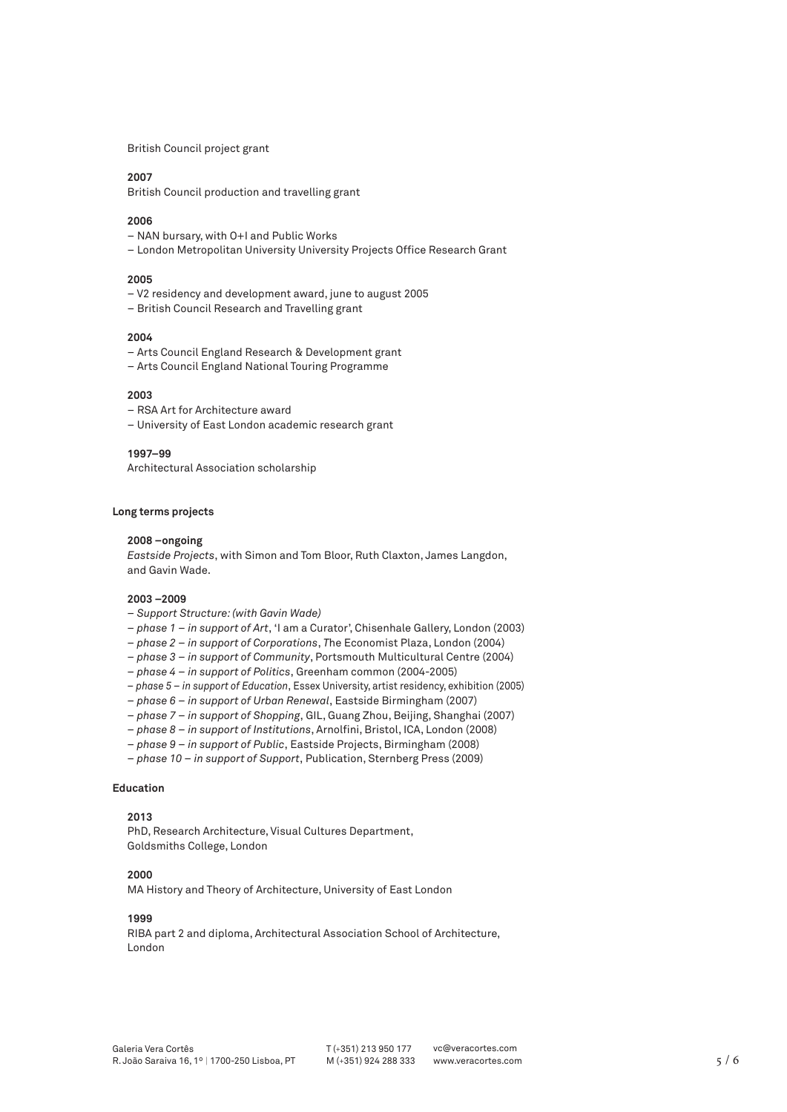British Council project grant

#### **2007**

British Council production and travelling grant

#### **2006**

- NAN bursary, with O+I and Public Works
- London Metropolitan University University Projects Office Research Grant

#### **2005**

- V2 residency and development award, june to august 2005
- British Council Research and Travelling grant

#### **2004**

- Arts Council England Research & Development grant
- Arts Council England National Touring Programme

#### **2003**

- RSA Art for Architecture award
- University of East London academic research grant

#### **1997–99**

Architectural Association scholarship

#### **Long terms projects**

#### **2008 –ongoing**

*Eastside Projects*, with Simon and Tom Bloor, Ruth Claxton, James Langdon, and Gavin Wade.

# **2003 –2009**

- *Support Structure: (with Gavin Wade)*
- *phase 1 in support of Art*, 'I am a Curator', Chisenhale Gallery, London (2003)
- *phase 2 in support of Corporations*, *T*he Economist Plaza, London (2004)
- *phase 3 in support of Community*, Portsmouth Multicultural Centre (2004)
- *phase 4 in support of Politics*, Greenham common (2004-2005)
- *phase 5 in support of Education*, Essex University, artist residency, exhibition (2005)
- *phase 6 in support of Urban Renewal*, Eastside Birmingham (2007)
- *phase 7 in support of Shopping*, GIL, Guang Zhou, Beijing, Shanghai (2007)
- *phase 8 in support of Institutions*, Arnolfini, Bristol, ICA, London (2008)
- *phase 9 in support of Public*, Eastside Projects, Birmingham (2008)
- *phase 10 in support of Support*, Publication, Sternberg Press (2009)

#### **Education**

# **2013**

PhD, Research Architecture, Visual Cultures Department, Goldsmiths College, London

# **2000**

MA History and Theory of Architecture, University of East London

# **1999**

RIBA part 2 and diploma, Architectural Association School of Architecture, London